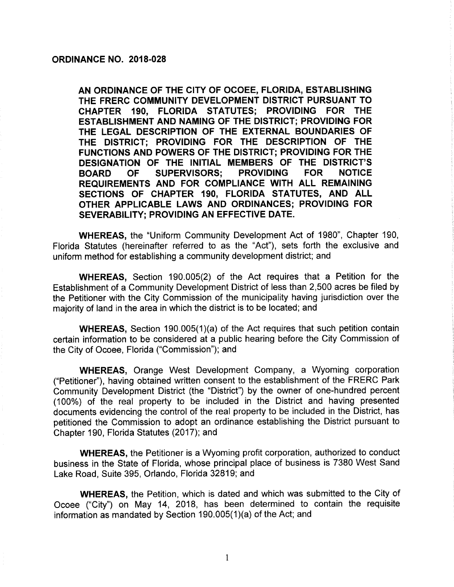### ORDINANCE NO. 2018-028

AN ORDINANCE OF THE CITY OF OCOEE, FLORIDA, ESTABLISHING THE FRERC COMMUNITY DEVELOPMENT DISTRICT PURSUANT TO CHAPTER 190, FLORIDA STATUTES; PROVIDING FOR THE ESTABLISHMENT AND NAMING OF THE DISTRICT; PROVIDING FOR THE LEGAL DESCRIPTION OF THE EXTERNAL BOUNDARIES OF THE DISTRICT; PROVIDING FOR THE DESCRIPTION OF THE FUNCTIONS AND POWERS OF THE DISTRICT; PROVIDING FOR THE DESIGNATION OF THE INITIAL MEMBERS OF THE DISTRICT'S<br>BOARD OF SUPERVISORS: PROVIDING FOR NOTICE BOARD OF SUPERVISORS; REQUIREMENTS AND FOR COMPLIANCE WITH ALL REMAINING SECTIONS OF CHAPTER 190, FLORIDA STATUTES, AND ALL OTHER APPLICABLE LAWS AND ORDINANCES; PROVIDING FOR SEVERABILITY; PROVIDING AN EFFECTIVE DATE.

WHEREAS, the "Uniform Community Development Act of 1980", Chapter 190, Florida Statutes ( hereinafter referred to as the "Act"), sets forth the exclusive and uniform method for establishing a community development district; and

WHEREAS, Section 190.005(2) of the Act requires that a Petition for the Establishment of a Community Development District of less than 2, 500 acres be filed by the Petitioner with the City Commission of the municipality having jurisdiction over the majority of land in the area in which the district is to be located; and

**WHEREAS, Section 190.005(1)(a) of the Act requires that such petition contain** certain information to be considered at a public hearing before the City Commission of the City of Ocoee, Florida ("Commission"); and

WHEREAS, Orange West Development Company, a Wyoming corporation Petitioner"), having obtained written consent to the establishment of the FRERC Park Community Development District (the "District") by the owner of one-hundred percent 100%) of the real property to be included in the District and having presented documents evidencing the control of the real property to be included in the District, has petitioned the Commission to adopt an ordinance establishing the District pursuant to Chapter 190, Florida Statutes (2017); and

WHEREAS, the Petitioner is a Wyoming profit corporation, authorized to conduct business in the State of Florida, whose principal place of business is 7380 West Sand Lake Road, Suite 395, Orlando, Florida 32819; and

WHEREAS, the Petition, which is dated and which was submitted to the City of Ocoee ("City") on May 14, 2018, has been determined to contain the requisite information as mandated by Section  $190.005(1)(a)$  of the Act; and

1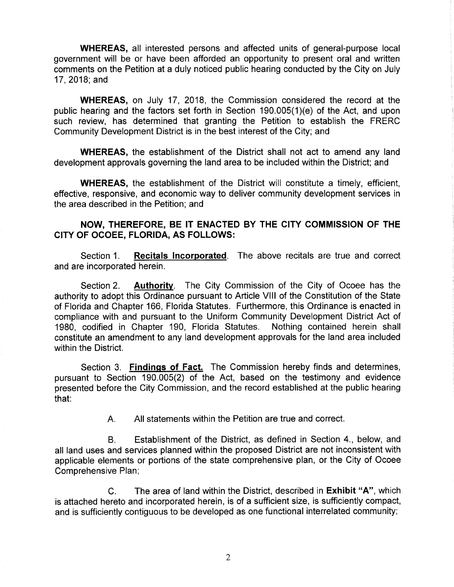WHEREAS, all interested persons and affected units of general-purpose local government will be or have been afforded an opportunity to present oral and written comments on the Petition at a duly noticed public hearing conducted by the City on July 17, 2018; and

WHEREAS, on July 17, 2018, the Commission considered the record at the public hearing and the factors set forth in Section 190.005(1)(e) of the Act, and upon such review, has determined that granting the Petition to establish the FRERC Community Development District is in the best interest of the City; and

WHEREAS, the establishment of the District shall not act to amend any land development approvals governing the land area to be included within the District; and

WHEREAS, the establishment of the District will constitute a timely, efficient, effective, responsive, and economic way to deliver community development services in the area described in the Petition; and

# NOW, THEREFORE, BE IT ENACTED BY THE CITY COMMISSION OF THE CITY OF OCOEE, FLORIDA, AS FOLLOWS:

Section 1. **Recitals Incorporated**. The above recitals are true and correct and are incorporated herein.

Section 2. **Authority**. The City Commission of the City of Ocoee has the authority to adopt this Ordinance pursuant to Article VIII of the Constitution of the State of Florida and Chapter 166, Florida Statutes. Furthermore, this Ordinance is enacted in compliance with and pursuant to the Uniform Community Development District Act of<br>1980, codified in Chapter 190, Florida Statutes. Nothing contained herein shall 1980, codified in Chapter 190, Florida Statutes. constitute an amendment to any land development approvals for the land area included within the District.

Section 3. Findings of Fact. The Commission hereby finds and determines, pursuant to Section 190.005(2) of the Act, based on the testimony and evidence presented before the City Commission, and the record established at the public hearing that:

A. All statements within the Petition are true and correct.

B. Establishment of the District, as defined in Section 4., below, and all land uses and services planned within the proposed District are not inconsistent with applicable elements or portions of the state comprehensive plan, or the City of Ocoee Comprehensive Plan;

C. The area of land within the District, described in Exhibit "A", which is attached hereto and incorporated herein, is of a sufficient size, is sufficiently compact, and is sufficiently contiguous to be developed as one functional interrelated community;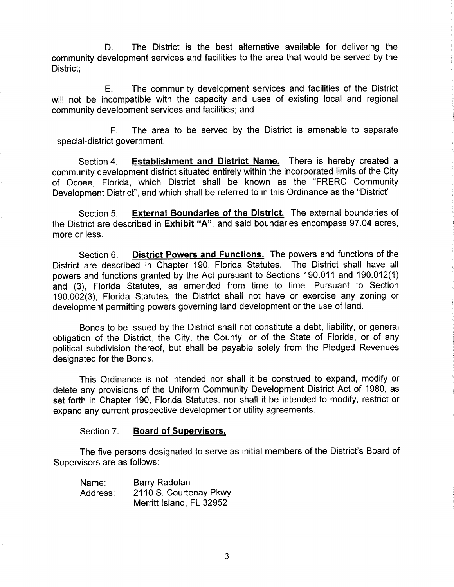D. The District is the best alternative available for delivering the community development services and facilities to the area that would be served by the District;

E. The community development services and facilities of the District will not be incompatible with the capacity and uses of existing local and regional community development services and facilities; and

F. The area to be served by the District is amenable to separate special-district government.

Section 4. Establishment and District Name. There is hereby created a community development district situated entirely within the incorporated limits of the City of Ocoee, Florida, which District shall be known as the "FRERC Community Development District", and which shall be referred to in this Ordinance as the "District".

Section 5. External Boundaries of the District. The external boundaries of the District are described in Exhibit "A", and said boundaries encompass 97. 04 acres, more or less.

Section 6. District Powers and Functions. The powers and functions of the District are described in Chapter 190, Florida Statutes. The District shall have all powers and functions granted by the Act pursuant to Sections 190.011 and 190.012(1) and (3), Florida Statutes, as amended from time to time. Pursuant to Section 190.002( 3), Florida Statutes, the District shall not have or exercise any zoning or development permitting powers governing land development or the use of land.

Bonds to be issued by the District shall not constitute a debt, liability, or general obligation of the District, the City, the County, or of the State of Florida, or of any political subdivision thereof, but shall be payable solely from the Pledged Revenues designated for the Bonds.

This Ordinance is not intended nor shall it be construed to expand, modify or delete any provisions of the Uniform Community Development District Act of 1980, as set forth in Chapter 190, Florida Statutes, nor shall it be intended to modify, restrict or expand any current prospective development or utility agreements.

### Section 7. Board of Supervisors.

The five persons designated to serve as initial members of the District's Board of Supervisors are as follows:

| Name:    | Barry Radolan            |
|----------|--------------------------|
| Address: | 2110 S. Courtenay Pkwy.  |
|          | Merritt Island, FL 32952 |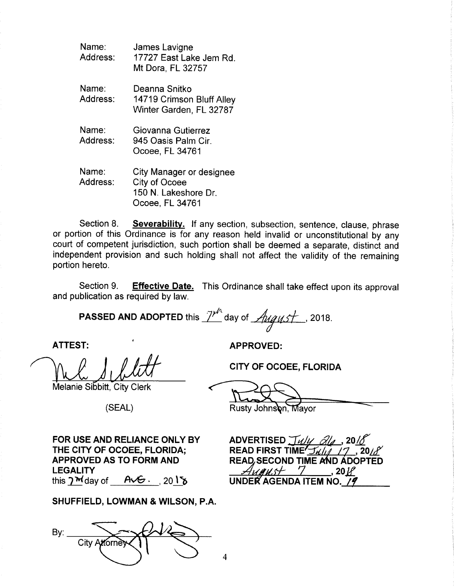| Name:<br>Address: | James Lavigne<br>17727 East Lake Jem Rd.<br>Mt Dora, FL 32757                        |
|-------------------|--------------------------------------------------------------------------------------|
| Name:<br>Address: | Deanna Snitko<br>14719 Crimson Bluff Alley<br>Winter Garden, FL 32787                |
| Name:<br>Address: | Giovanna Gutierrez<br>945 Oasis Palm Cir.<br>Ocoee, FL 34761                         |
| Name:<br>Address: | City Manager or designee<br>City of Ocoee<br>150 N. Lakeshore Dr.<br>Ocoee, FL 34761 |

Section 8. Severability. If any section, subsection, sentence, clause, phrase or portion of this Ordinance is for any reason held invalid or unconstitutional by any court of competent jurisdiction, such portion shall be deemed a separate, distinct and independent provision and such holding shall not affect the validity of the remaining portion hereto.

Section 9. Effective Date. This Ordinance shall take effect upon its approval and publication as required by law.

4

**PASSED AND ADOPTED** this  $\frac{7}{10}$  day of  $\frac{h\cancel{q}}{h\cancel{q}}$ , 2018.

Well A Will CITY OF OCOEE,<br>Melanie Sibbitt, City Clerk 1

Melanie Sibbitt, City Clerk

ATTEST: APPROVED:

CITY OF OCOEE, FLORIDA

SEAL) Rusty Johnson, Mayor

FOR USE AND RELIANCE ONLY BY ADVERTISED  $\frac{\mathcal{J}_{\mathcal{U}}\mathcal{Y}}{\mathcal{J}_{\mathcal{U}}\mathcal{Y}}$  THE CITY OF OCOEE, FLORIDA; READ FIRST TIME  $\frac{\mathcal{J}_{\mathcal{U}}\mathcal{Y}}{\mathcal{Y}_{\mathcal{U}}\mathcal{Y}}$ THE CITY OF OCOEE, FLORIDA: APPROVED AS TO FORM AND<br>LEGALITY<br>this **Delay of ACG** 2018 LEGALITY<br>this  $2^{\frac{M}{M}}$ day of  $A \vee B \cdot .$  20 115 UNDER AGENDA ITEM NO. 79

SHUFFIELD, LOWMAN & WILSON, P.A.

By:  $_$ City Attorne

 $17, 20$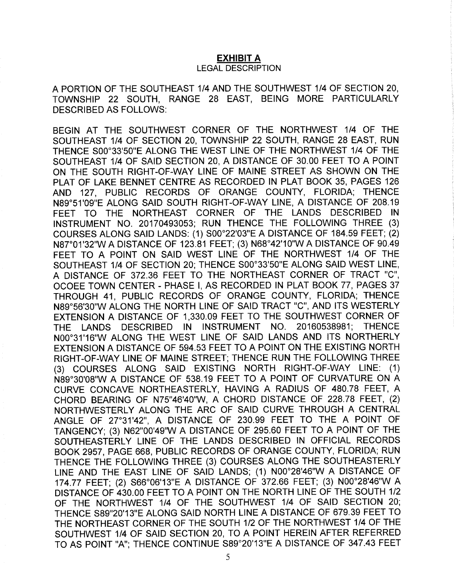## EXHIBIT A

#### LEGAL DESCRIPTION

A PORTION OF THE SOUTHEAST 1/4 AND THE SOUTHWEST 1/4 OF SECTION 20. TOWNSHIP 22 SOUTH, RANGE 28 EAST, BEING MORE PARTICULARLY DESCRIBED AS FOLLOWS:

BEGIN AT THE SOUTHWEST CORNER OF THE NORTHWEST 1/4 OF THE SOUTHEAST 1/4 OF SECTION 20, TOWNSHIP 22 SOUTH, RANGE 28 EAST, RUN THENCE S00°33'50"E ALONG THE WEST LINE OF THE NORTHWEST 1/4 OF THE SOUTHEAST 1/4 OF SAID SECTION 20, A DISTANCE OF 30.00 FEET TO A POINT ON THE SOUTH RIGHT-OF-WAY LINE OF MAINE STREET AS SHOWN ON THE PLAT OF LAKE BENNET CENTRE AS RECORDED IN PLAT BOOK 35, PAGES 126 AND 127, PUBLIC RECORDS OF ORANGE COUNTY, FLORIDA; THENCE N89° 51' 09" E ALONG SAID SOUTH RIGHT-OF-WAY LINE, A DISTANCE OF 208. 19 FEET TO THE NORTHEAST CORNER OF THE LANDS DESCRIBED IN INSTRUMENT NO. 20170493053; RUN THENCE THE FOLLOWING THREE (3) COURSES ALONG SAID LANDS: ( 1) S00° 22'03"E A DISTANCE OF 184. 59 FEET; (2) N87° 01' 32"W A DISTANCE OF 123. 81 FEET; ( 3) N68°42' 10"W A DISTANCE OF 90.49 FEET TO A POINT ON SAID WEST LINE OF THE NORTHWEST 1/4 OF THE SOUTHEAST 1/4 OF SECTION 20; THENCE S00°33'50"E ALONG SAID WEST LINE. A DISTANCE OF 372. 36 FEET TO THE NORTHEAST CORNER OF TRACT "C", OCOEE TOWN CENTER - PHASE I, AS RECORDED IN PLAT BOOK 77, PAGES 37 THROUGH 41, PUBLIC RECORDS OF ORANGE COUNTY, FLORIDA; THENCE N89°56'30"W ALONG THE NORTH LINE OF SAID TRACT "C", AND ITS WESTERLY EXTENSION A DISTANCE OF 1, 330. 09 FEET TO THE SOUTHWEST CORNER OF THE LANDS DESCRIBED IN INSTRUMENT NO. 20160538981; THENCE N00°31' 16"W ALONG THE WEST LINE OF SAID LANDS AND ITS NORTHERLY EXTENSION A DISTANCE OF 594.53 FEET TO A POINT ON THE EXISTING NORTH RIGHT-OF-WAY LINE OF MAINE STREET; THENCE RUN THE FOLLOWING THREE 3) COURSES ALONG SAID EXISTING NORTH RIGHT-OF-WAY LINE: ( 1) N89° 30'08"W A DISTANCE OF 538. 19 FEET TO A POINT OF CURVATURE ON A CURVE CONCAVE NORTHEASTERLY, HAVING A RADIUS OF 480.78 FEET, A CHORD BEARING OF N75"46'40"W, A CHORD DISTANCE OF 228.78 FEET, (2) NORTHWESTERLY ALONG THE ARC OF SAID CURVE THROUGH A CENTRAL ANGLE OF 27°31'42", A DISTANCE OF 230.99 FEET TO THE A POINT OF TANGENCY; (3) N62"00'49"W A DISTANCE OF 295.60 FEET TO A POINT OF THE SOUTHEASTERLY LINE OF THE LANDS DESCRIBED IN OFFICIAL RECORDS BOOK 2957, PAGE 668, PUBLIC RECORDS OF ORANGE COUNTY, FLORIDA; RUN THENCE THE FOLLOWING THREE (3) COURSES ALONG THE SOUTHEASTERLY LINE AND THE EAST LINE OF SAID LANDS; (1) N00°28'46"W A DISTANCE OF 174.77 FEET; (2) S66° 06' 13" <sup>E</sup> A DISTANCE OF 372.66 FEET; (3) N00°28'46"W A DISTANCE OF 430.00 FEET TO A POINT ON THE NORTH LINE OF THE SOUTH 1/2 OF THE NORTHWEST 1/4 OF THE SOUTHWEST 1/4 OF SAID SECTION 20; THENCE S89"20'13"E ALONG SAID NORTH LINE A DISTANCE OF 679.39 FEET TO THE NORTHEAST CORNER OF THE SOUTH 1/2 OF THE NORTHWEST 1/4 OF THE SOUTHWEST 1/4 OF SAID SECTION 20, TO A POINT HEREIN AFTER REFERRED TO AS POINT "A"; THENCE CONTINUE S89°20'13"E A DISTANCE OF 347.43 FEET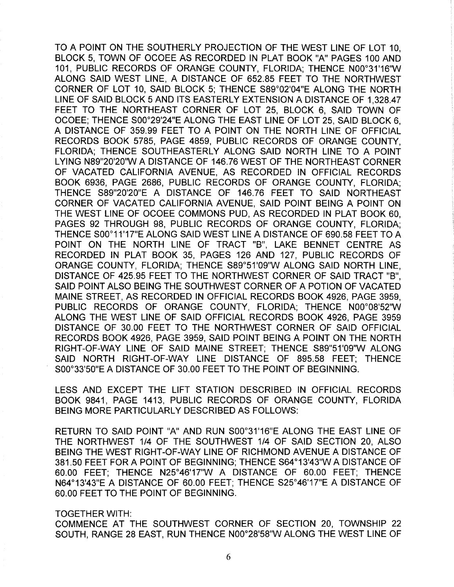TO A POINT ON THE SOUTHERLY PROJECTION OF THE WEST LINE OF LOT 10, BLOCK 5, TOWN OF OCOEE AS RECORDED IN PLAT BOOK "A" PAGES 100 AND 101, PUBLIC RECORDS OF ORANGE COUNTY, FLORIDA; THENCE N00° 31' 16"W ALONG SAID WEST LINE, A DISTANCE OF 652. 85 FEET TO THE NORTHWEST CORNER OF LOT 10, SAID BLOCK 5; THENCE S89°02'04"E ALONG THE NORTH LINE OF SAID BLOCK 5 AND ITS EASTERLY EXTENSION A DISTANCE OF 1, 328.47 FEET TO THE NORTHEAST CORNER OF LOT 25, BLOCK 6, SAID TOWN OF OCOEE; THENCE S00°29'24"E ALONG THE EAST LINE OF LOT 25, SAID BLOCK 6, A DISTANCE OF 359. 99 FEET TO A POINT ON THE NORTH LINE OF OFFICIAL RECORDS BOOK 5785, PAGE 4859, PUBLIC RECORDS OF ORANGE COUNTY, FLORIDA; THENCE SOUTHEASTERLY ALONG SAID NORTH LINE TO A POINT LYING N89"20'20"W A DISTANCE OF 146.76 WEST OF THE NORTHEAST CORNER OF VACATED CALIFORNIA AVENUE, AS RECORDED IN OFFICIAL RECORDS BOOK 6936, PAGE 2686, PUBLIC RECORDS OF ORANGE COUNTY, FLORIDA; THENCE S89"20'20"E A DISTANCE OF 146.76 FEET TO SAID NORTHEAST CORNER OF VACATED CALIFORNIA AVENUE, SAID POINT BEING A POINT ON THE WEST LINE OF OCOEE COMMONS PUD, AS RECORDED IN PLAT BOOK 60, PAGES 92 THROUGH 98, PUBLIC RECORDS OF ORANGE COUNTY, FLORIDA; THENCE S00°11'17"E ALONG SAID WEST LINE A DISTANCE OF 690.58 FEET TO A POINT ON THE NORTH LINE OF TRACT "B", LAKE BENNET CENTRE AS RECORDED IN PLAT BOOK 35, PAGES 126 AND 127, PUBLIC RECORDS OF ORANGE COUNTY, FLORIDA; THENCE S89°51'09"W ALONG SAID NORTH LINE, DISTANCE OF 425.95 FEET TO THE NORTHWEST CORNER OF SAID TRACT " B", SAID POINT ALSO BEING THE SOUTHWEST CORNER OF A POTION OF VACATED MAINE STREET, AS RECORDED IN OFFICIAL RECORDS BOOK 4926, PAGE 3959, PUBLIC RECORDS OF ORANGE COUNTY, FLORIDA: THENCE N00°08'52"W ALONG THE WEST LINE OF SAID OFFICIAL RECORDS BOOK 4926, PAGE 3959 DISTANCE OF 30.00 FEET TO THE NORTHWEST CORNER OF SAID OFFICIAL RECORDS BOOK 4926, PAGE 3959, SAID POINT BEING A POINT ON THE NORTH RIGHT-OF-WAY LINE OF SAID MAINE STREET; THENCE S89"51'09"W ALONG SAID NORTH RIGHT-OF-WAY LINE DISTANCE OF 895.58 FEET; THENCE S00°33'50"E A DISTANCE OF 30.00 FEET TO THE POINT OF BEGINNING.

LESS AND EXCEPT THE LIFT STATION DESCRIBED IN OFFICIAL RECORDS BOOK 9841, PAGE 1413, PUBLIC RECORDS OF ORANGE COUNTY, FLORIDA BEING MORE PARTICULARLY DESCRIBED AS FOLLOWS:

RETURN TO SAID POINT "A" AND RUN S00°31'16"E ALONG THE EAST LINE OF THE NORTHWEST 1/4 OF THE SOUTHWEST 1/4 OF SAID SECTION 20, ALSO BEING THE WEST RIGHT-OF-WAY LINE OF RICHMOND AVENUE A DISTANCE OF 381. 50 FEET FOR A POINT OF BEGINNING; THENCE S64° 13'43"W A DISTANCE OF 60. 00 FEET; THENCE N25°46' 17"W A DISTANCE OF 60.00 FEET; THENCE N64° 13'43"E A DISTANCE OF 60. 00 FEET; THENCE S25°46' 17" E A DISTANCE OF 60. 00 FEET TO THE POINT OF BEGINNING.

### TOGETHER WITH:

COMMENCE AT THE SOUTHWEST CORNER OF SECTION 20, TOWNSHIP 22 SOUTH, RANGE 28 EAST, RUN THENCE N00°28' 58"W ALONG THE WEST LINE OF